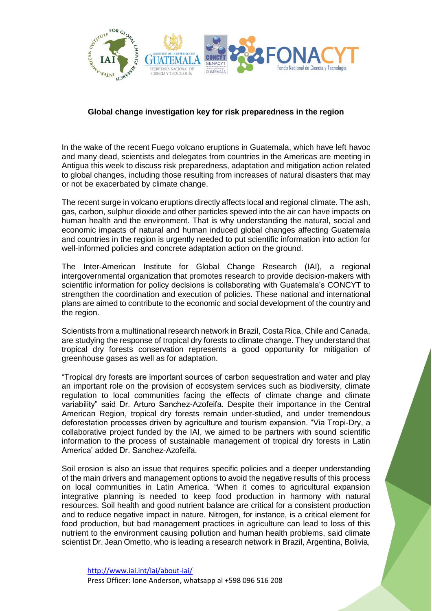

## **Global change investigation key for risk preparedness in the region**

In the wake of the recent Fuego volcano eruptions in Guatemala, which have left havoc and many dead, scientists and delegates from countries in the Americas are meeting in Antigua this week to discuss risk preparedness, adaptation and mitigation action related to global changes, including those resulting from increases of natural disasters that may or not be exacerbated by climate change.

The recent surge in volcano eruptions directly affects local and regional climate. The ash, gas, carbon, sulphur dioxide and other particles spewed into the air can have impacts on human health and the environment. That is why understanding the natural, social and economic impacts of natural and human induced global changes affecting Guatemala and countries in the region is urgently needed to put scientific information into action for well-informed policies and concrete adaptation action on the ground.

The Inter-American Institute for Global Change Research (IAI), a regional intergovernmental organization that promotes research to provide decision-makers with scientific information for policy decisions is collaborating with Guatemala's CONCYT to strengthen the coordination and execution of policies. These national and international plans are aimed to contribute to the economic and social development of the country and the region.

Scientists from a multinational research network in Brazil, Costa Rica, Chile and Canada, are studying the response of tropical dry forests to climate change. They understand that tropical dry forests conservation represents a good opportunity for mitigation of greenhouse gases as well as for adaptation.

"Tropical dry forests are important sources of carbon sequestration and water and play an important role on the provision of ecosystem services such as biodiversity, climate regulation to local communities facing the effects of climate change and climate variability" said Dr. Arturo Sanchez-Azofeifa. Despite their importance in the Central American Region, tropical dry forests remain under-studied, and under tremendous deforestation processes driven by agriculture and tourism expansion. "Via Tropi-Dry, a collaborative project funded by the IAI, we aimed to be partners with sound scientific information to the process of sustainable management of tropical dry forests in Latin America' added Dr. Sanchez-Azofeifa.

Soil erosion is also an issue that requires specific policies and a deeper understanding of the main drivers and management options to avoid the negative results of this process on local communities in Latin America. "When it comes to agricultural expansion integrative planning is needed to keep food production in harmony with natural resources. Soil health and good nutrient balance are critical for a consistent production and to reduce negative impact in nature. Nitrogen, for instance, is a critical element for food production, but bad management practices in agriculture can lead to loss of this nutrient to the environment causing pollution and human health problems, said climate scientist Dr. Jean Ometto, who is leading a research network in Brazil, Argentina, Bolivia,